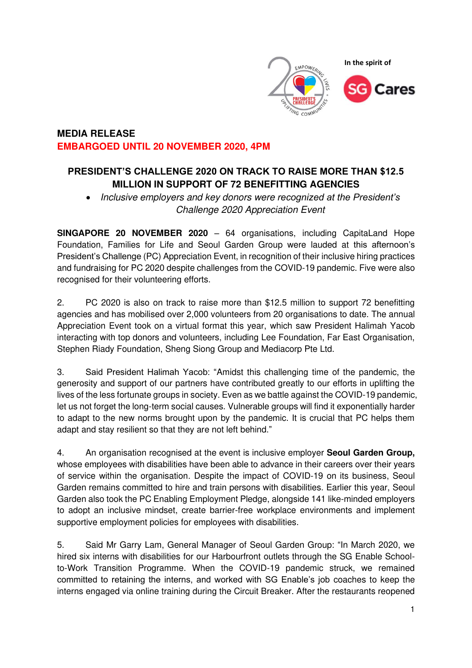

## **MEDIA RELEASE EMBARGOED UNTIL 20 NOVEMBER 2020, 4PM**

## **PRESIDENT'S CHALLENGE 2020 ON TRACK TO RAISE MORE THAN \$12.5 MILLION IN SUPPORT OF 72 BENEFITTING AGENCIES**

• Inclusive employers and key donors were *recognized at the President's*  Challenge 2020 Appreciation Event

**SINGAPORE 20 NOVEMBER 2020** – 64 organisations, including CapitaLand Hope Foundation, Families for Life and Seoul Garden Group were lauded at this afternoon's President's Challenge (PC) Appreciation Event, in recognition of their inclusive hiring practices and fundraising for PC 2020 despite challenges from the COVID-19 pandemic. Five were also recognised for their volunteering efforts.

2. PC 2020 is also on track to raise more than \$12.5 million to support 72 benefitting agencies and has mobilised over 2,000 volunteers from 20 organisations to date. The annual Appreciation Event took on a virtual format this year, which saw President Halimah Yacob interacting with top donors and volunteers, including Lee Foundation, Far East Organisation, Stephen Riady Foundation, Sheng Siong Group and Mediacorp Pte Ltd.

3. Said President Halimah Yacob: "Amidst this challenging time of the pandemic, the generosity and support of our partners have contributed greatly to our efforts in uplifting the lives of the less fortunate groups in society. Even as we battle against the COVID-19 pandemic, let us not forget the long-term social causes. Vulnerable groups will find it exponentially harder to adapt to the new norms brought upon by the pandemic. It is crucial that PC helps them adapt and stay resilient so that they are not left behind."

4. An organisation recognised at the event is inclusive employer **Seoul Garden Group,**  whose employees with disabilities have been able to advance in their careers over their years of service within the organisation. Despite the impact of COVID-19 on its business, Seoul Garden remains committed to hire and train persons with disabilities. Earlier this year, Seoul Garden also took the PC Enabling Employment Pledge, alongside 141 like-minded employers to adopt an inclusive mindset, create barrier-free workplace environments and implement supportive employment policies for employees with disabilities.

5. Said Mr Garry Lam, General Manager of Seoul Garden Group: "In March 2020, we hired six interns with disabilities for our Harbourfront outlets through the SG Enable Schoolto-Work Transition Programme. When the COVID-19 pandemic struck, we remained committed to retaining the interns, and worked with SG Enable's job coaches to keep the interns engaged via online training during the Circuit Breaker. After the restaurants reopened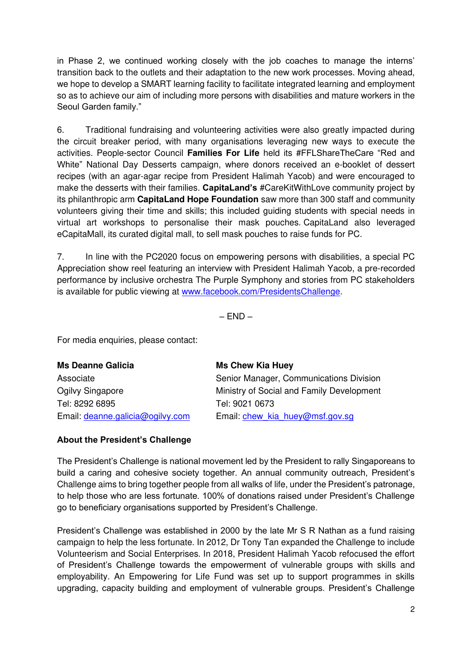in Phase 2, we continued working closely with the job coaches to manage the interns' transition back to the outlets and their adaptation to the new work processes. Moving ahead, we hope to develop a SMART learning facility to facilitate integrated learning and employment so as to achieve our aim of including more persons with disabilities and mature workers in the Seoul Garden family."

6. Traditional fundraising and volunteering activities were also greatly impacted during the circuit breaker period, with many organisations leveraging new ways to execute the activities. People-sector Council **Families For Life** held its #FFLShareTheCare "Red and White" National Day Desserts campaign, where donors received an e-booklet of dessert recipes (with an agar-agar recipe from President Halimah Yacob) and were encouraged to make the desserts with their families. **CapitaLand's** #CareKitWithLove community project by its philanthropic arm **CapitaLand Hope Foundation** saw more than 300 staff and community volunteers giving their time and skills; this included guiding students with special needs in virtual art workshops to personalise their mask pouches. CapitaLand also leveraged eCapitaMall, its curated digital mall, to sell mask pouches to raise funds for PC.

7. In line with the PC2020 focus on empowering persons with disabilities, a special PC Appreciation show reel featuring an interview with President Halimah Yacob, a pre-recorded performance by inclusive orchestra The Purple Symphony and stories from PC stakeholders is available for public viewing at [www.facebook.com/PresidentsChallenge.](http://www.facebook.com/PresidentsChallenge)

 $-$  END  $-$ 

For media enquiries, please contact:

| <b>Ms Deanne Galicia</b>         | <b>Ms Chew Kia Huey</b>                   |
|----------------------------------|-------------------------------------------|
| Associate                        | Senior Manager, Communications Division   |
| Ogilvy Singapore                 | Ministry of Social and Family Development |
| Tel: 8292 6895                   | Tel: 9021 0673                            |
| Email: deanne.galicia@ogilvy.com | Email: chew kia huey@msf.gov.sg           |

## **About the President's Challenge**

The President's Challenge is national movement led by the President to rally Singaporeans to build a caring and cohesive society together. An annual community outreach, President's Challenge aims to bring together people from all walks of life, under the President's patronage, to help those who are less fortunate. 100% of donations raised under President's Challenge go to beneficiary organisations supported by President's Challenge.

President's Challenge was established in 2000 by the late Mr S R Nathan as a fund raising campaign to help the less fortunate. In 2012, Dr Tony Tan expanded the Challenge to include Volunteerism and Social Enterprises. In 2018, President Halimah Yacob refocused the effort of President's Challenge towards the empowerment of vulnerable groups with skills and employability. An Empowering for Life Fund was set up to support programmes in skills upgrading, capacity building and employment of vulnerable groups. President's Challenge